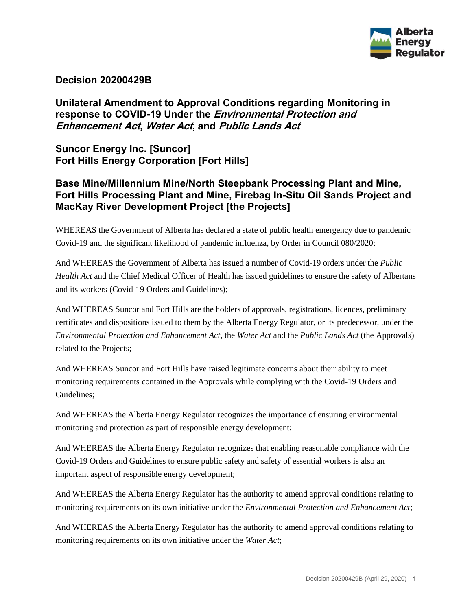

## **Decision 20200429B**

**Unilateral Amendment to Approval Conditions regarding Monitoring in response to COVID-19 Under the Environmental Protection and Enhancement Act, Water Act, and Public Lands Act**

**Suncor Energy Inc. [Suncor] Fort Hills Energy Corporation [Fort Hills]**

## **Base Mine/Millennium Mine/North Steepbank Processing Plant and Mine, Fort Hills Processing Plant and Mine, Firebag In-Situ Oil Sands Project and MacKay River Development Project [the Projects]**

WHEREAS the Government of Alberta has declared a state of public health emergency due to pandemic Covid-19 and the significant likelihood of pandemic influenza, by Order in Council 080/2020;

And WHEREAS the Government of Alberta has issued a number of Covid-19 orders under the *Public Health Act* and the Chief Medical Officer of Health has issued guidelines to ensure the safety of Albertans and its workers (Covid-19 Orders and Guidelines);

And WHEREAS Suncor and Fort Hills are the holders of approvals, registrations, licences, preliminary certificates and dispositions issued to them by the Alberta Energy Regulator, or its predecessor, under the *Environmental Protection and Enhancement Act,* the *Water Act* and the *Public Lands Act* (the Approvals) related to the Projects;

And WHEREAS Suncor and Fort Hills have raised legitimate concerns about their ability to meet monitoring requirements contained in the Approvals while complying with the Covid-19 Orders and Guidelines;

And WHEREAS the Alberta Energy Regulator recognizes the importance of ensuring environmental monitoring and protection as part of responsible energy development;

And WHEREAS the Alberta Energy Regulator recognizes that enabling reasonable compliance with the Covid-19 Orders and Guidelines to ensure public safety and safety of essential workers is also an important aspect of responsible energy development;

And WHEREAS the Alberta Energy Regulator has the authority to amend approval conditions relating to monitoring requirements on its own initiative under the *Environmental Protection and Enhancement Act*;

And WHEREAS the Alberta Energy Regulator has the authority to amend approval conditions relating to monitoring requirements on its own initiative under the *Water Act*;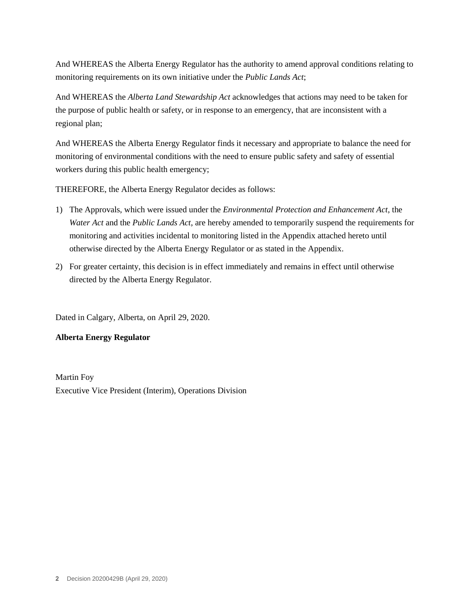And WHEREAS the Alberta Energy Regulator has the authority to amend approval conditions relating to monitoring requirements on its own initiative under the *Public Lands Act*;

And WHEREAS the *Alberta Land Stewardship Act* acknowledges that actions may need to be taken for the purpose of public health or safety, or in response to an emergency, that are inconsistent with a regional plan;

And WHEREAS the Alberta Energy Regulator finds it necessary and appropriate to balance the need for monitoring of environmental conditions with the need to ensure public safety and safety of essential workers during this public health emergency;

THEREFORE, the Alberta Energy Regulator decides as follows:

- 1) The Approvals, which were issued under the *Environmental Protection and Enhancement Act*, the *Water Act* and the *Public Lands Act*, are hereby amended to temporarily suspend the requirements for monitoring and activities incidental to monitoring listed in the Appendix attached hereto until otherwise directed by the Alberta Energy Regulator or as stated in the Appendix.
- 2) For greater certainty, this decision is in effect immediately and remains in effect until otherwise directed by the Alberta Energy Regulator.

Dated in Calgary, Alberta, on April 29, 2020.

## **Alberta Energy Regulator**

Martin Foy Executive Vice President (Interim), Operations Division